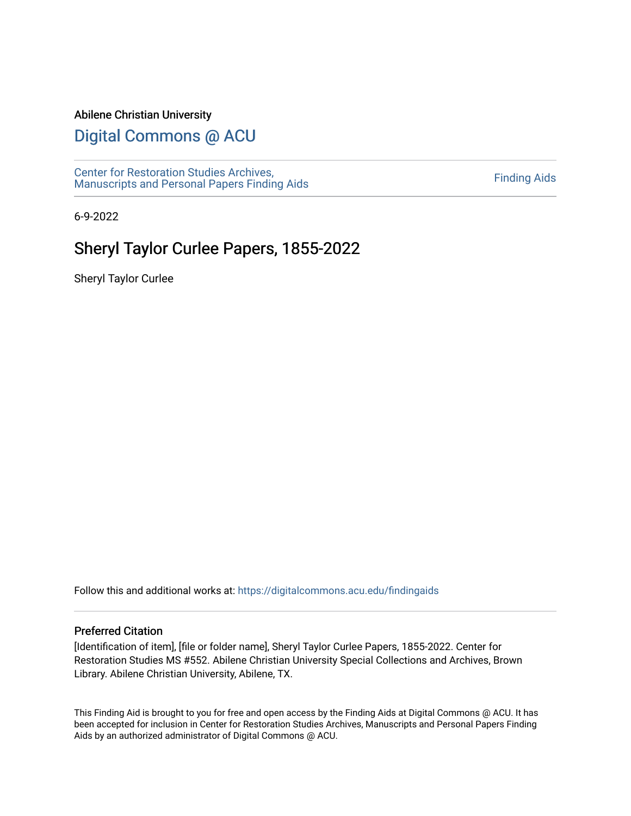#### Abilene Christian University

## [Digital Commons @ ACU](https://digitalcommons.acu.edu/)

[Center for Restoration Studies Archives,](https://digitalcommons.acu.edu/findingaids)  [Manuscripts and Personal Papers Finding Aids](https://digitalcommons.acu.edu/findingaids) [Finding Aids](https://digitalcommons.acu.edu/crs_finding_aids) 

6-9-2022

# Sheryl Taylor Curlee Papers, 1855-2022

Sheryl Taylor Curlee

Follow this and additional works at: [https://digitalcommons.acu.edu/findingaids](https://digitalcommons.acu.edu/findingaids?utm_source=digitalcommons.acu.edu%2Ffindingaids%2F839&utm_medium=PDF&utm_campaign=PDFCoverPages)

#### Preferred Citation

[Identification of item], [file or folder name], Sheryl Taylor Curlee Papers, 1855-2022. Center for Restoration Studies MS #552. Abilene Christian University Special Collections and Archives, Brown Library. Abilene Christian University, Abilene, TX.

This Finding Aid is brought to you for free and open access by the Finding Aids at Digital Commons @ ACU. It has been accepted for inclusion in Center for Restoration Studies Archives, Manuscripts and Personal Papers Finding Aids by an authorized administrator of Digital Commons @ ACU.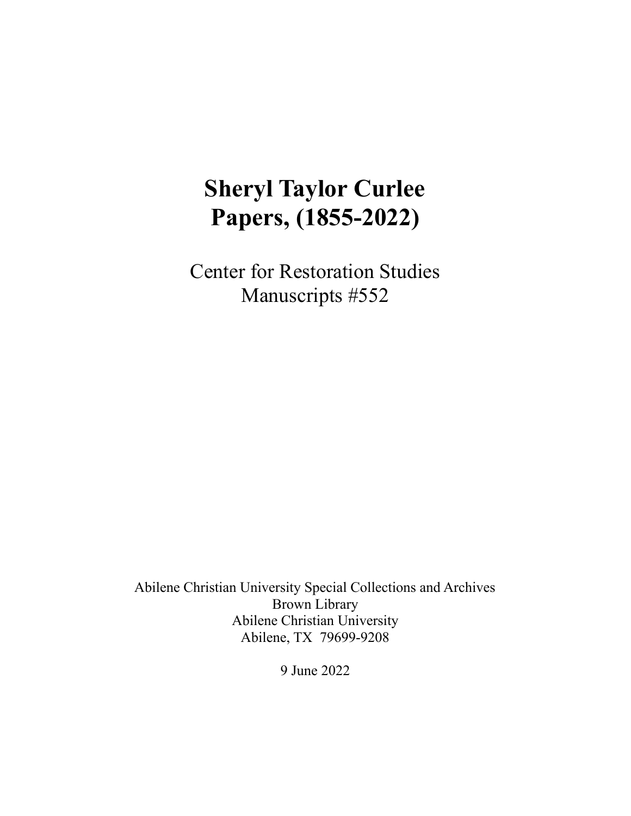# **Sheryl Taylor Curlee Papers, (1855-2022)**

Center for Restoration Studies Manuscripts #552

Abilene Christian University Special Collections and Archives Brown Library Abilene Christian University Abilene, TX 79699-9208

9 June 2022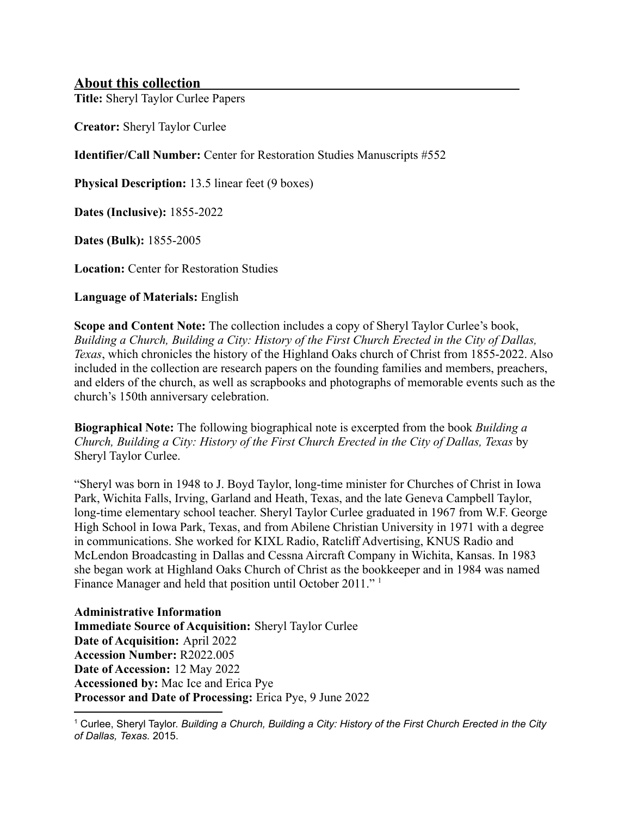## **About this collection**

**Title:** Sheryl Taylor Curlee Papers

**Creator:** Sheryl Taylor Curlee

**Identifier/Call Number:** Center for Restoration Studies Manuscripts #552

**Physical Description:** 13.5 linear feet (9 boxes)

**Dates (Inclusive):** 1855-2022

**Dates (Bulk):** 1855-2005

**Location:** Center for Restoration Studies

**Language of Materials:** English

**Scope and Content Note:** The collection includes a copy of Sheryl Taylor Curlee's book, *Building a Church, Building a City: History of the First Church Erected in the City of Dallas, Texas*, which chronicles the history of the Highland Oaks church of Christ from 1855-2022. Also included in the collection are research papers on the founding families and members, preachers, and elders of the church, as well as scrapbooks and photographs of memorable events such as the church's 150th anniversary celebration.

**Biographical Note:** The following biographical note is excerpted from the book *Building a Church, Building a City: History of the First Church Erected in the City of Dallas, Texas* by Sheryl Taylor Curlee.

"Sheryl was born in 1948 to J. Boyd Taylor, long-time minister for Churches of Christ in Iowa Park, Wichita Falls, Irving, Garland and Heath, Texas, and the late Geneva Campbell Taylor, long-time elementary school teacher. Sheryl Taylor Curlee graduated in 1967 from W.F. George High School in Iowa Park, Texas, and from Abilene Christian University in 1971 with a degree in communications. She worked for KIXL Radio, Ratcliff Advertising, KNUS Radio and McLendon Broadcasting in Dallas and Cessna Aircraft Company in Wichita, Kansas. In 1983 she began work at Highland Oaks Church of Christ as the bookkeeper and in 1984 was named Finance Manager and held that position until October 2011."<sup>1</sup>

**Administrative Information Immediate Source of Acquisition:** Sheryl Taylor Curlee **Date of Acquisition:** April 2022 **Accession Number:** R2022.005 **Date of Accession:** 12 May 2022 **Accessioned by:** Mac Ice and Erica Pye **Processor and Date of Processing:** Erica Pye, 9 June 2022

<sup>1</sup> Curlee, Sheryl Taylor. *Building a Church, Building a City: History of the First Church Erected in the City of Dallas, Texas.* 2015.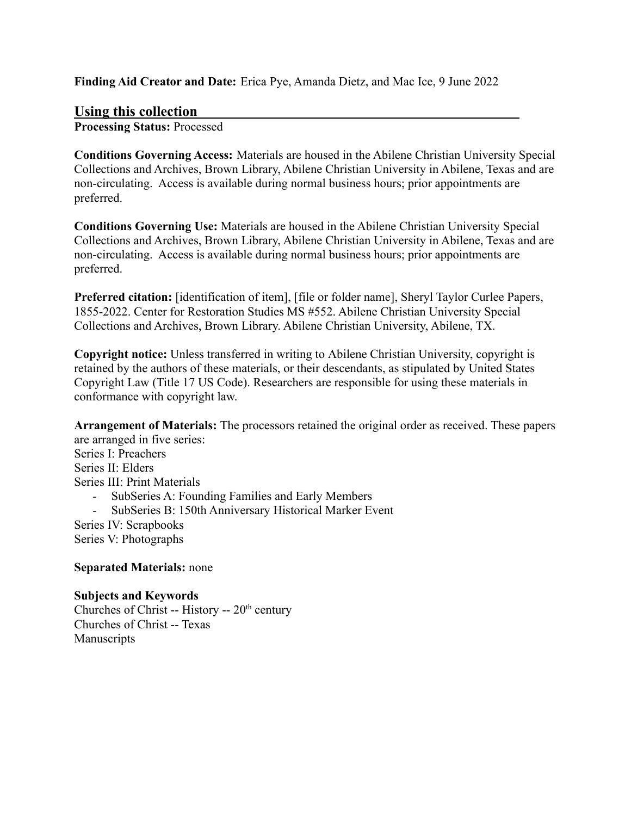**Finding Aid Creator and Date:** Erica Pye, Amanda Dietz, and Mac Ice, 9 June 2022

## **Using this collection**

**Processing Status:** Processed

**Conditions Governing Access:** Materials are housed in the Abilene Christian University Special Collections and Archives, Brown Library, Abilene Christian University in Abilene, Texas and are non-circulating. Access is available during normal business hours; prior appointments are preferred.

**Conditions Governing Use:** Materials are housed in the Abilene Christian University Special Collections and Archives, Brown Library, Abilene Christian University in Abilene, Texas and are non-circulating. Access is available during normal business hours; prior appointments are preferred.

**Preferred citation:** [identification of item], [file or folder name], Sheryl Taylor Curlee Papers, 1855-2022. Center for Restoration Studies MS #552. Abilene Christian University Special Collections and Archives, Brown Library. Abilene Christian University, Abilene, TX.

**Copyright notice:** Unless transferred in writing to Abilene Christian University, copyright is retained by the authors of these materials, or their descendants, as stipulated by United States Copyright Law (Title 17 US Code). Researchers are responsible for using these materials in conformance with copyright law.

**Arrangement of Materials:** The processors retained the original order as received. These papers are arranged in five series: Series I: Preachers Series II: Elders Series III: Print Materials - SubSeries A: Founding Families and Early Members

- SubSeries B: 150th Anniversary Historical Marker Event

Series IV: Scrapbooks Series V: Photographs

**Separated Materials:** none

**Subjects and Keywords** Churches of Christ -- History --  $20<sup>th</sup>$  century Churches of Christ -- Texas Manuscripts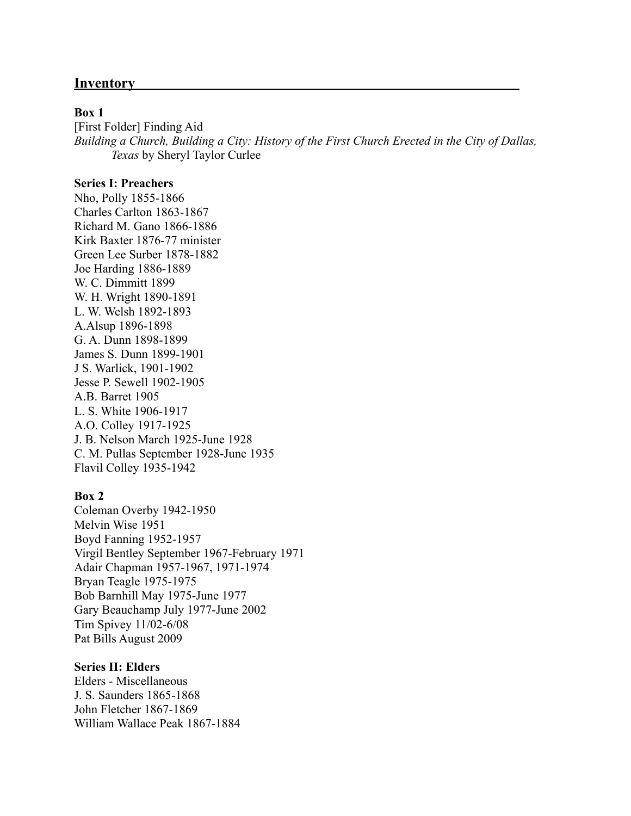## **Inventory**

#### **Box 1**

[First Folder] Finding Aid *Building a Church, Building a City: History of the First Church Erected in the City of Dallas, Texas* by Sheryl Taylor Curlee

### **Series I: Preachers**

Nho, Polly 1855-1866 Charles Carlton 1863-1867 Richard M. Gano 1866-1886 Kirk Baxter 1876-77 minister Green Lee Surber 1878-1882 Joe Harding 1886-1889 W. C. Dimmitt 1899 W. H. Wright 1890-1891 L. W. Welsh 1892-1893 A.Alsup 1896-1898 G. A. Dunn 1898-1899 James S. Dunn 1899-1901 J S. Warlick, 1901-1902 Jesse P. Sewell 1902-1905 A.B. Barret 1905 L. S. White 1906-1917 A.O. Colley 1917-1925 J. B. Nelson March 1925-June 1928 C. M. Pullas September 1928-June 1935 Flavil Colley 1935-1942

#### **Box 2**

Coleman Overby 1942-1950 Melvin Wise 1951 Boyd Fanning 1952-1957 Virgil Bentley September 1967-February 1971 Adair Chapman 1957-1967, 1971-1974 Bryan Teagle 1975-1975 Bob Barnhill May 1975-June 1977 Gary Beauchamp July 1977-June 2002 Tim Spivey 11/02-6/08 Pat Bills August 2009

#### **Series II: Elders**

Elders - Miscellaneous J. S. Saunders 1865-1868 John Fletcher 1867-1869 William Wallace Peak 1867-1884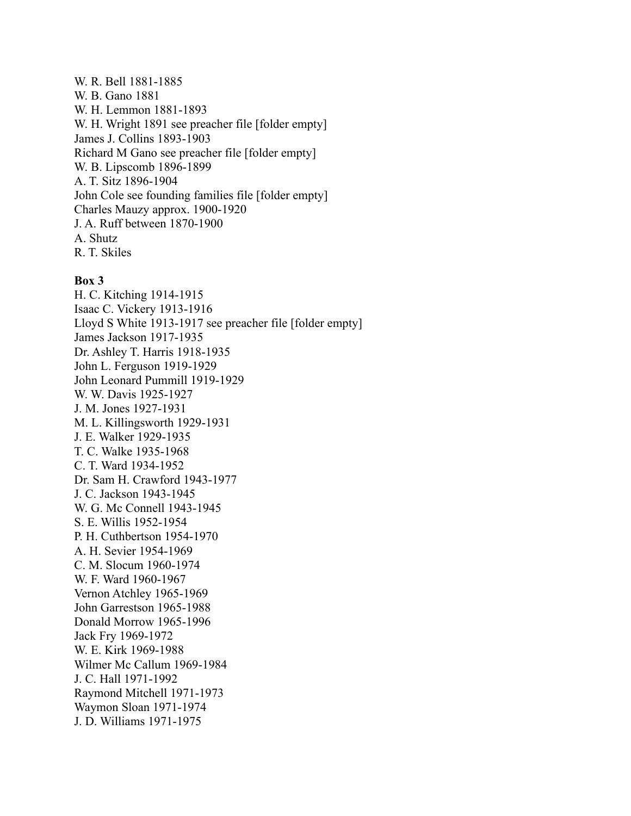W. R. Bell 1881-1885 W. B. Gano 1881 W. H. Lemmon 1881-1893 W. H. Wright 1891 see preacher file [folder empty] James J. Collins 1893-1903 Richard M Gano see preacher file [folder empty] W. B. Lipscomb 1896-1899 A. T. Sitz 1896-1904 John Cole see founding families file [folder empty] Charles Mauzy approx. 1900-1920 J. A. Ruff between 1870-1900 A. Shutz R. T. Skiles

#### **Box 3**

H. C. Kitching 1914-1915 Isaac C. Vickery 1913-1916 Lloyd S White 1913-1917 see preacher file [folder empty] James Jackson 1917-1935 Dr. Ashley T. Harris 1918-1935 John L. Ferguson 1919-1929 John Leonard Pummill 1919-1929 W. W. Davis 1925-1927 J. M. Jones 1927-1931 M. L. Killingsworth 1929-1931 J. E. Walker 1929-1935 T. C. Walke 1935-1968 C. T. Ward 1934-1952 Dr. Sam H. Crawford 1943-1977 J. C. Jackson 1943-1945 W. G. Mc Connell 1943-1945 S. E. Willis 1952-1954 P. H. Cuthbertson 1954-1970 A. H. Sevier 1954-1969 C. M. Slocum 1960-1974 W. F. Ward 1960-1967 Vernon Atchley 1965-1969 John Garrestson 1965-1988 Donald Morrow 1965-1996 Jack Fry 1969-1972 W. E. Kirk 1969-1988 Wilmer Mc Callum 1969-1984 J. C. Hall 1971-1992 Raymond Mitchell 1971-1973 Waymon Sloan 1971-1974 J. D. Williams 1971-1975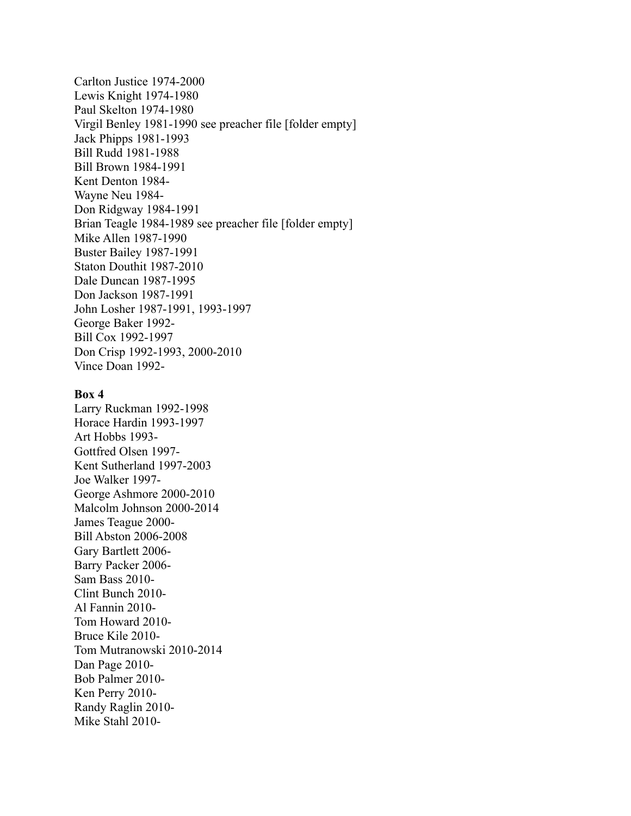Carlton Justice 1974-2000 Lewis Knight 1974-1980 Paul Skelton 1974-1980 Virgil Benley 1981-1990 see preacher file [folder empty] Jack Phipps 1981-1993 Bill Rudd 1981-1988 Bill Brown 1984-1991 Kent Denton 1984- Wayne Neu 1984- Don Ridgway 1984-1991 Brian Teagle 1984-1989 see preacher file [folder empty] Mike Allen 1987-1990 Buster Bailey 1987-1991 Staton Douthit 1987-2010 Dale Duncan 1987-1995 Don Jackson 1987-1991 John Losher 1987-1991, 1993-1997 George Baker 1992- Bill Cox 1992-1997 Don Crisp 1992-1993, 2000-2010 Vince Doan 1992-

#### **Box 4**

Larry Ruckman 1992-1998 Horace Hardin 1993-1997 Art Hobbs 1993- Gottfred Olsen 1997- Kent Sutherland 1997-2003 Joe Walker 1997- George Ashmore 2000-2010 Malcolm Johnson 2000-2014 James Teague 2000- Bill Abston 2006-2008 Gary Bartlett 2006- Barry Packer 2006- Sam Bass 2010- Clint Bunch 2010- Al Fannin 2010- Tom Howard 2010- Bruce Kile 2010- Tom Mutranowski 2010-2014 Dan Page 2010- Bob Palmer 2010- Ken Perry 2010- Randy Raglin 2010- Mike Stahl 2010-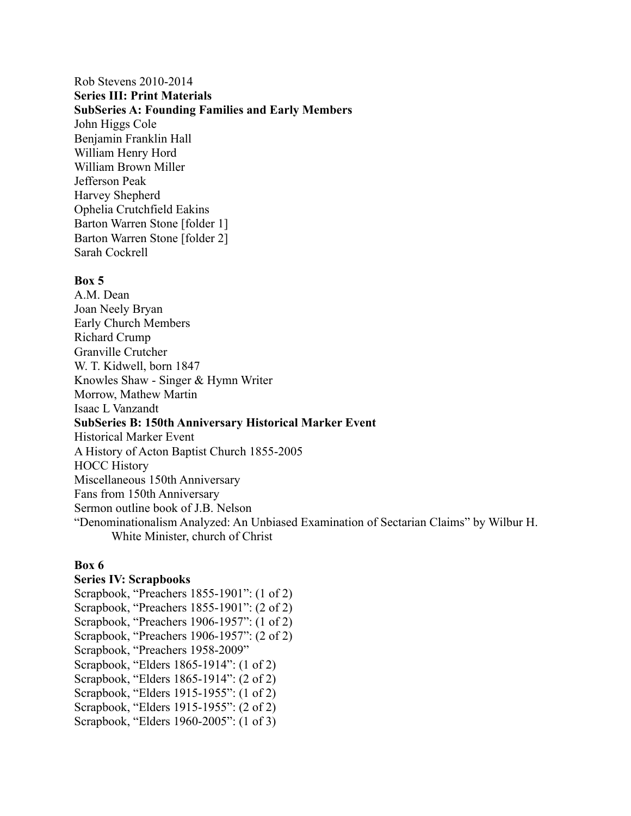## Rob Stevens 2010-2014 **Series III: Print Materials SubSeries A: Founding Families and Early Members** John Higgs Cole Benjamin Franklin Hall William Henry Hord William Brown Miller Jefferson Peak Harvey Shepherd Ophelia Crutchfield Eakins Barton Warren Stone [folder 1] Barton Warren Stone [folder 2] Sarah Cockrell

#### **Box 5**

A.M. Dean Joan Neely Bryan Early Church Members Richard Crump Granville Crutcher W. T. Kidwell, born 1847 Knowles Shaw - Singer & Hymn Writer Morrow, Mathew Martin Isaac L Vanzandt **SubSeries B: 150th Anniversary Historical Marker Event** Historical Marker Event A History of Acton Baptist Church 1855-2005 HOCC History Miscellaneous 150th Anniversary Fans from 150th Anniversary Sermon outline book of J.B. Nelson "Denominationalism Analyzed: An Unbiased Examination of Sectarian Claims" by Wilbur H. White Minister, church of Christ

#### **Box 6**

#### **Series IV: Scrapbooks**

Scrapbook, "Preachers 1855-1901": (1 of 2) Scrapbook, "Preachers 1855-1901": (2 of 2) Scrapbook, "Preachers 1906-1957": (1 of 2) Scrapbook, "Preachers 1906-1957": (2 of 2) Scrapbook, "Preachers 1958-2009" Scrapbook, "Elders 1865-1914": (1 of 2) Scrapbook, "Elders 1865-1914": (2 of 2) Scrapbook, "Elders 1915-1955": (1 of 2) Scrapbook, "Elders 1915-1955": (2 of 2) Scrapbook, "Elders 1960-2005": (1 of 3)